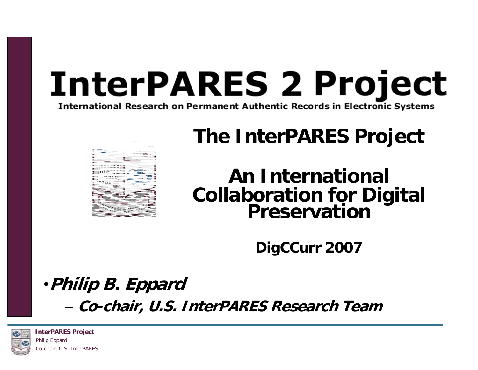# **InterPARES 2 Project**

**International Research on Permanent Authentic Records in Electronic Systems** 

#### **The InterPARES Project**



### **An International Collaboration for Digital Preservation**

**DigCCurr 2007**

### •**Philip B. Eppard**

– **Co-chair, U.S. InterPARES Research Team**



**InterPARES Project** Philip Eppard Co-chair, U.S. InterPARES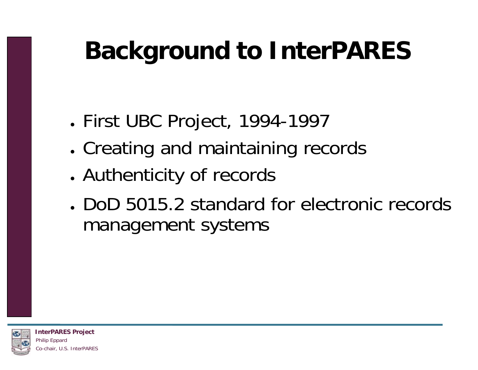### **Background to InterPARES**

- ●First UBC Project, 1994-1997
- ●Creating and maintaining records
- ●Authenticity of records
- DoD 5015.2 standard for electronic records management systems

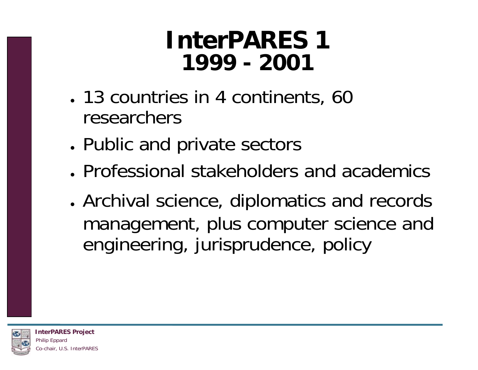#### **InterPARES 11999 - 2001**

- 13 countries in 4 continents, 60 researchers
- ●Public and private sectors
- Professional stakeholders and academics
- ● Archival science, diplomatics and records management, plus computer science and engineering, jurisprudence, policy

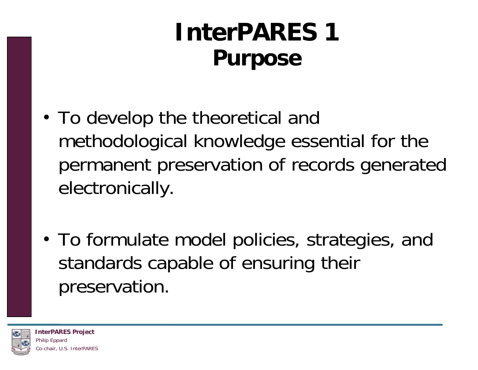### **InterPARES 1 Purpose**

- To develop the theoretical and methodological knowledge essential for the permanent preservation of records generated electronically.
- To formulate model policies, strategies, and standards capable of ensuring their preservation.

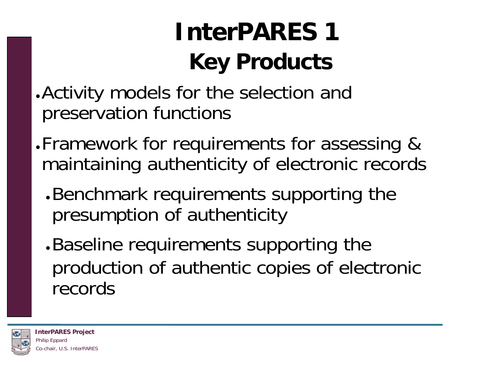### **InterPARES 1Key Products**

- . Activity models for the selection and preservation functions
- ●Framework for requirements for assessing & maintaining authenticity of electronic records
	- ● Benchmark requirements supporting the presumption of authenticity
	- ● Baseline requirements supporting the production of authentic copies of electronic records

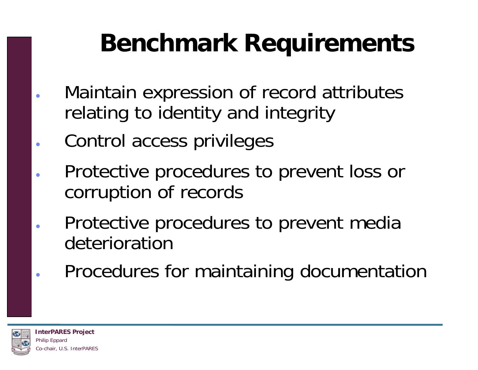### **Benchmark Requirements**

- Maintain expression of record attributes relating to identity and integrity
- Control access privileges
- Protective procedures to prevent loss or corruption of records
- Protective procedures to prevent media deterioration
- Procedures for maintaining documentation



●

●

●

●

●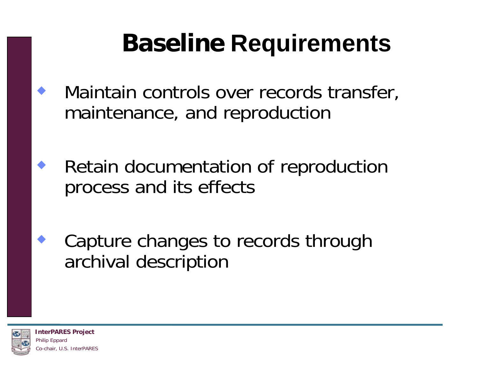### **Baseline Requirements**

- Maintain controls over records transfer, maintenance, and reproduction
- ♦ Retain documentation of reproduction process and its effects
	- Capture changes to records through archival description



♦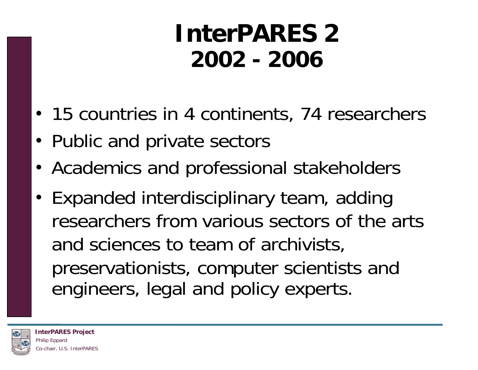#### **InterPARES 22002 - 2006**

- 15 countries in 4 continents, 74 researchers
- Public and private sectors
- Academics and professional stakeholders
- Expanded interdisciplinary team, adding researchers from various sectors of the arts and sciences to team of archivists, preservationists, computer scientists and engineers, legal and policy experts.

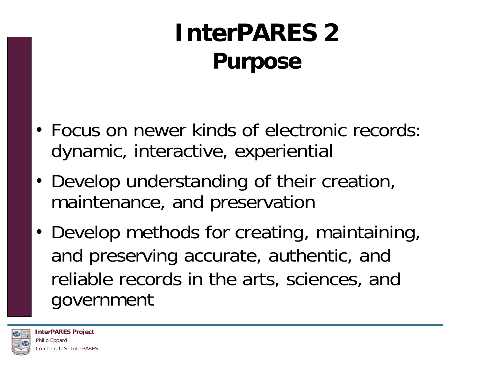### **InterPARES 2Purpose**

- Focus on newer kinds of electronic records: dynamic, interactive, experiential
- Develop understanding of their creation, maintenance, and preservation
- Develop methods for creating, maintaining, and preserving accurate, authentic, and reliable records in the arts, sciences, and government

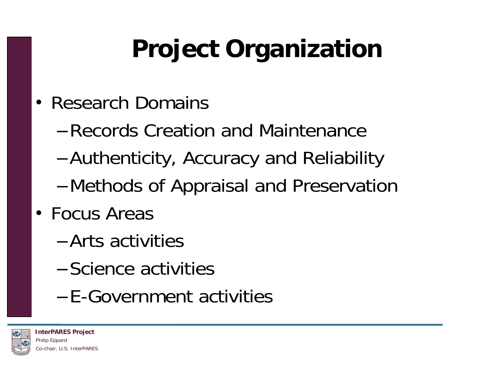# **Project Organization**

- Research Domains
	- –Records Creation and Maintenance
	- –Authenticity, Accuracy and Reliability
	- –Methods of Appraisal and Preservation
- Focus Areas
	- –Arts activities
	- –Science activities
	- –E-Government activities

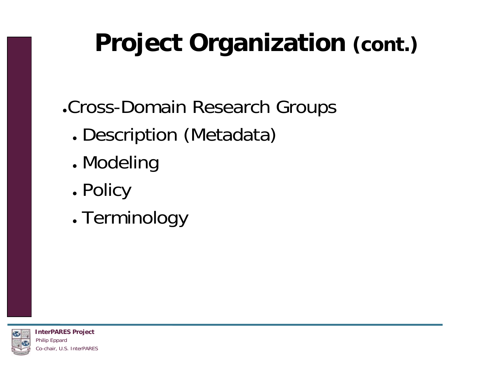## **Project Organization (cont.)**

●Cross-Domain Research Groups

- ●Description (Metadata)
- ●Modeling
- ●Policy
- ●Terminology

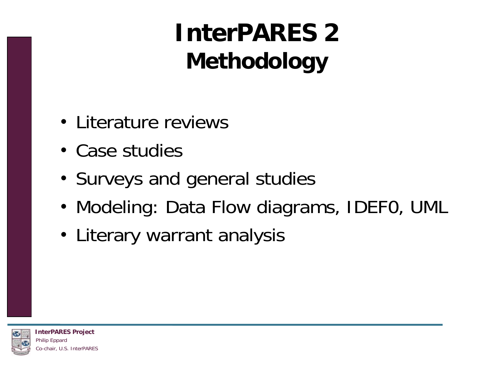### **InterPARES 2Methodology**

- Literature reviews
- Case studies
- Surveys and general studies
- Modeling: Data Flow diagrams, IDEF0, UML
- Literary warrant analysis

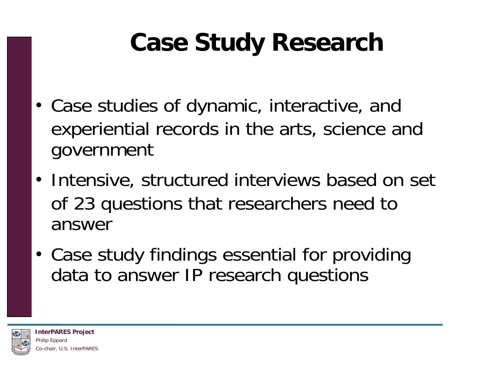### **Case Study Research**

- Case studies of dynamic, interactive, and experiential records in the arts, science and government
- Intensive, structured interviews based on set of 23 questions that researchers need to answer
- Case study findings essential for providing data to answer IP research questions

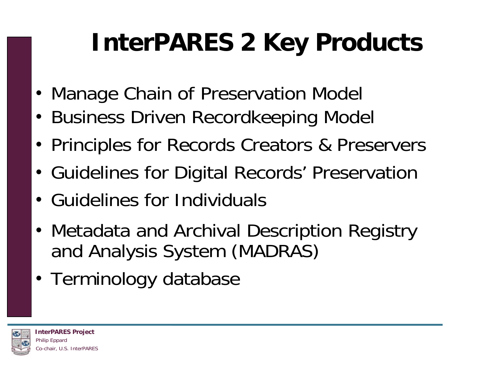## **InterPARES 2 Key Products**

- Manage Chain of Preservation Model
- Business Driven Recordkeeping Model
- Principles for Records Creators & Preservers
- Guidelines for Digital Records' Preservation
- Guidelines for Individuals
- Metadata and Archival Description Registry and Analysis System (MADRAS)
- Terminology database

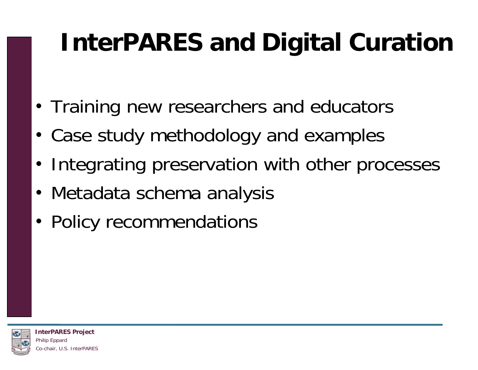## **InterPARES and Digital Curation**

- Training new researchers and educators
- Case study methodology and examples
- Integrating preservation with other processes
- Metadata schema analysis
- Policy recommendations